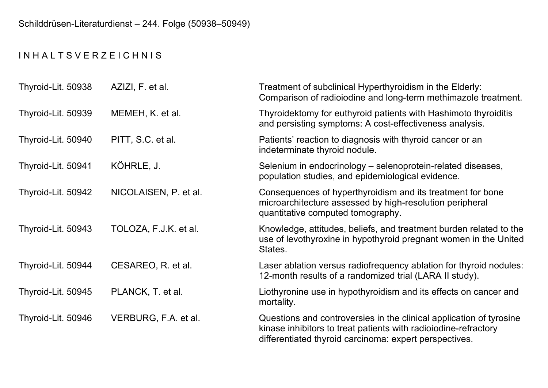## I N H A L T S V E R Z E I C H N I S

| Thyroid-Lit. 50938 | AZIZI, F. et al.      | Treatment of subclinical Hyperthyroidism in the Elderly:<br>Comparison of radiolodine and long-term methimazole treatment.                                                                       |
|--------------------|-----------------------|--------------------------------------------------------------------------------------------------------------------------------------------------------------------------------------------------|
| Thyroid-Lit. 50939 | MEMEH, K. et al.      | Thyroidektomy for euthyroid patients with Hashimoto thyroiditis<br>and persisting symptoms: A cost-effectiveness analysis.                                                                       |
| Thyroid-Lit. 50940 | PITT, S.C. et al.     | Patients' reaction to diagnosis with thyroid cancer or an<br>indeterminate thyroid nodule.                                                                                                       |
| Thyroid-Lit. 50941 | KÖHRLE, J.            | Selenium in endocrinology - selenoprotein-related diseases,<br>population studies, and epidemiological evidence.                                                                                 |
| Thyroid-Lit. 50942 | NICOLAISEN, P. et al. | Consequences of hyperthyroidism and its treatment for bone<br>microarchitecture assessed by high-resolution peripheral<br>quantitative computed tomography.                                      |
| Thyroid-Lit. 50943 | TOLOZA, F.J.K. et al. | Knowledge, attitudes, beliefs, and treatment burden related to the<br>use of levothyroxine in hypothyroid pregnant women in the United<br>States.                                                |
| Thyroid-Lit. 50944 | CESAREO, R. et al.    | Laser ablation versus radiofrequency ablation for thyroid nodules:<br>12-month results of a randomized trial (LARA II study).                                                                    |
| Thyroid-Lit. 50945 | PLANCK, T. et al.     | Liothyronine use in hypothyroidism and its effects on cancer and<br>mortality.                                                                                                                   |
| Thyroid-Lit. 50946 | VERBURG, F.A. et al.  | Questions and controversies in the clinical application of tyrosine<br>kinase inhibitors to treat patients with radiolodine-refractory<br>differentiated thyroid carcinoma: expert perspectives. |